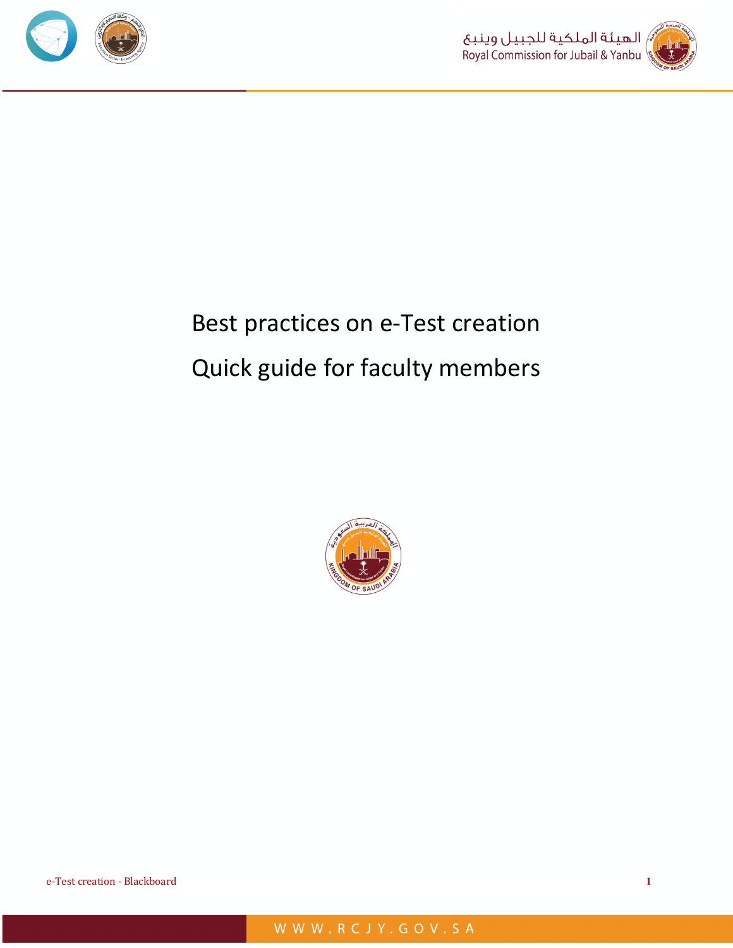



# Best practices on e-Test creation Quick guide for faculty members



e-Test creation - Blackboard **1**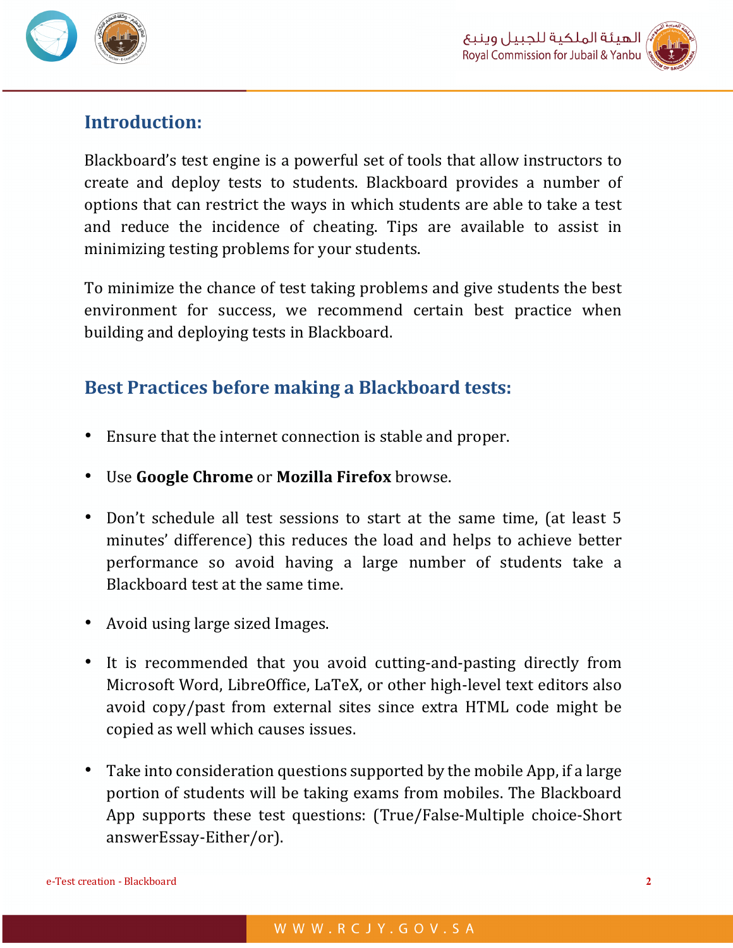



## **Introduction:**

Blackboard's test engine is a powerful set of tools that allow instructors to create and deploy tests to students. Blackboard provides a number of options that can restrict the ways in which students are able to take a test and reduce the incidence of cheating. Tips are available to assist in minimizing testing problems for your students.

To minimize the chance of test taking problems and give students the best environment for success, we recommend certain best practice when building and deploying tests in Blackboard.

# **Best Practices before making a Blackboard tests:**

- Ensure that the internet connection is stable and proper.
- Use **Google Chrome** or **Mozilla Firefox** browse.
- Don't schedule all test sessions to start at the same time, (at least 5 minutes' difference) this reduces the load and helps to achieve better performance so avoid having a large number of students take a Blackboard test at the same time.
- Avoid using large sized Images.
- It is recommended that you avoid cutting-and-pasting directly from Microsoft Word, LibreOffice, LaTeX, or other high-level text editors also avoid copy/past from external sites since extra HTML code might be copied as well which causes issues.
- Take into consideration questions supported by the mobile App, if a large portion of students will be taking exams from mobiles. The Blackboard App supports these test questions: (True/False-Multiple choice-Short) answerEssay-Either/or).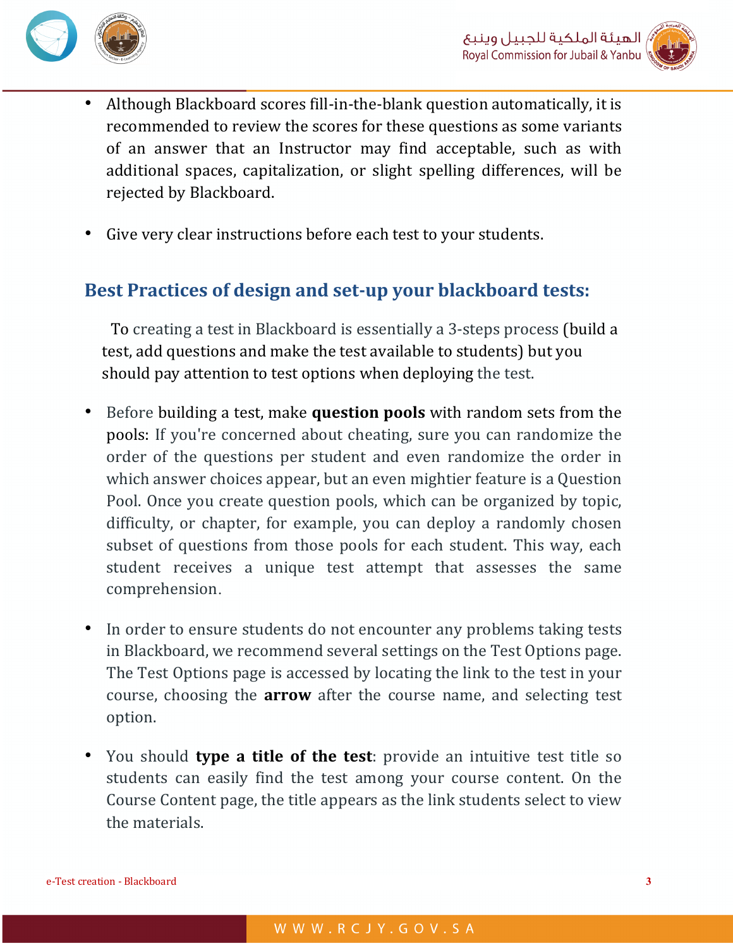



- Although Blackboard scores fill-in-the-blank question automatically, it is recommended to review the scores for these questions as some variants of an answer that an Instructor may find acceptable, such as with additional spaces, capitalization, or slight spelling differences, will be rejected by Blackboard.
- Give very clear instructions before each test to your students.

## Best Practices of design and set-up your blackboard tests:

To creating a test in Blackboard is essentially a 3-steps process (build a test, add questions and make the test available to students) but you should pay attention to test options when deploying the test.

- Before building a test, make **question pools** with random sets from the pools: If you're concerned about cheating, sure you can randomize the order of the questions per student and even randomize the order in which answer choices appear, but an even mightier feature is a Question Pool. Once you create question pools, which can be organized by topic, difficulty, or chapter, for example, you can deploy a randomly chosen subset of questions from those pools for each student. This way, each student receives a unique test attempt that assesses the same comprehension.
- In order to ensure students do not encounter any problems taking tests in Blackboard, we recommend several settings on the Test Options page. The Test Options page is accessed by locating the link to the test in your course, choosing the **arrow** after the course name, and selecting test option.
- You should **type a title of the test**: provide an intuitive test title so students can easily find the test among your course content. On the Course Content page, the title appears as the link students select to view the materials.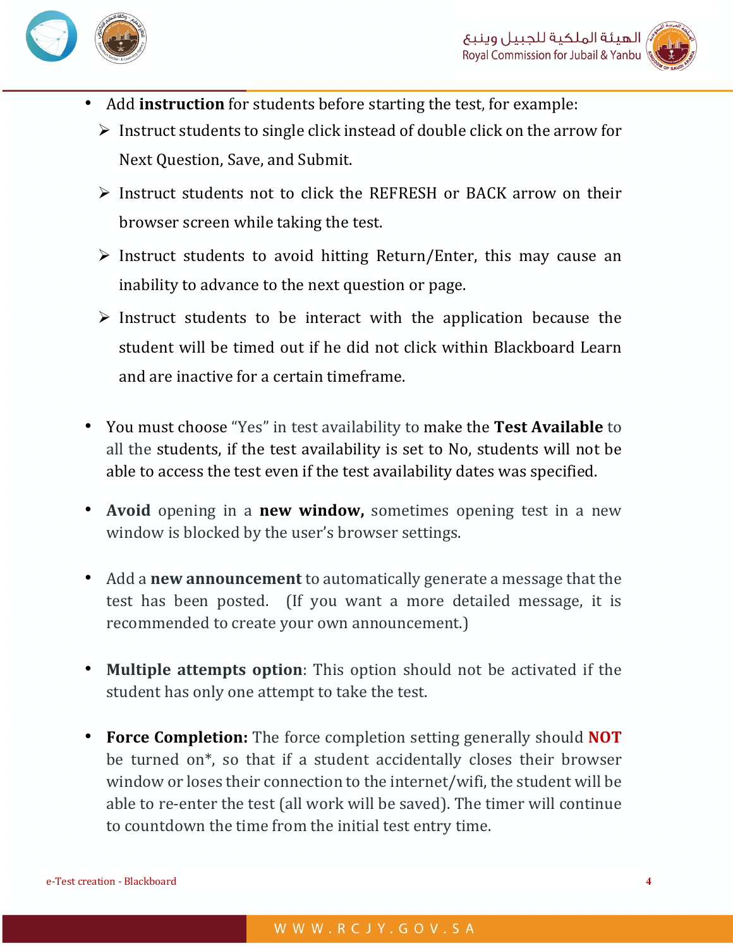



- Add **instruction** for students before starting the test, for example:
	- $\triangleright$  Instruct students to single click instead of double click on the arrow for Next Ouestion, Save, and Submit.
	- $\triangleright$  Instruct students not to click the REFRESH or BACK arrow on their browser screen while taking the test.
	- $\triangleright$  Instruct students to avoid hitting Return/Enter, this may cause an inability to advance to the next question or page.
	- $\triangleright$  Instruct students to be interact with the application because the student will be timed out if he did not click within Blackboard Learn and are inactive for a certain timeframe.
- You must choose "Yes" in test availability to make the Test Available to all the students, if the test availability is set to No, students will not be able to access the test even if the test availability dates was specified.
- Avoid opening in a **new window,** sometimes opening test in a new window is blocked by the user's browser settings.
- Add a **new announcement** to automatically generate a message that the test has been posted. (If you want a more detailed message, it is recommended to create your own announcement.)
- **Multiple attempts option**: This option should not be activated if the student has only one attempt to take the test.
- **Force Completion:** The force completion setting generally should **NOT** be turned on\*, so that if a student accidentally closes their browser window or loses their connection to the internet/wifi, the student will be able to re-enter the test (all work will be saved). The timer will continue to countdown the time from the initial test entry time.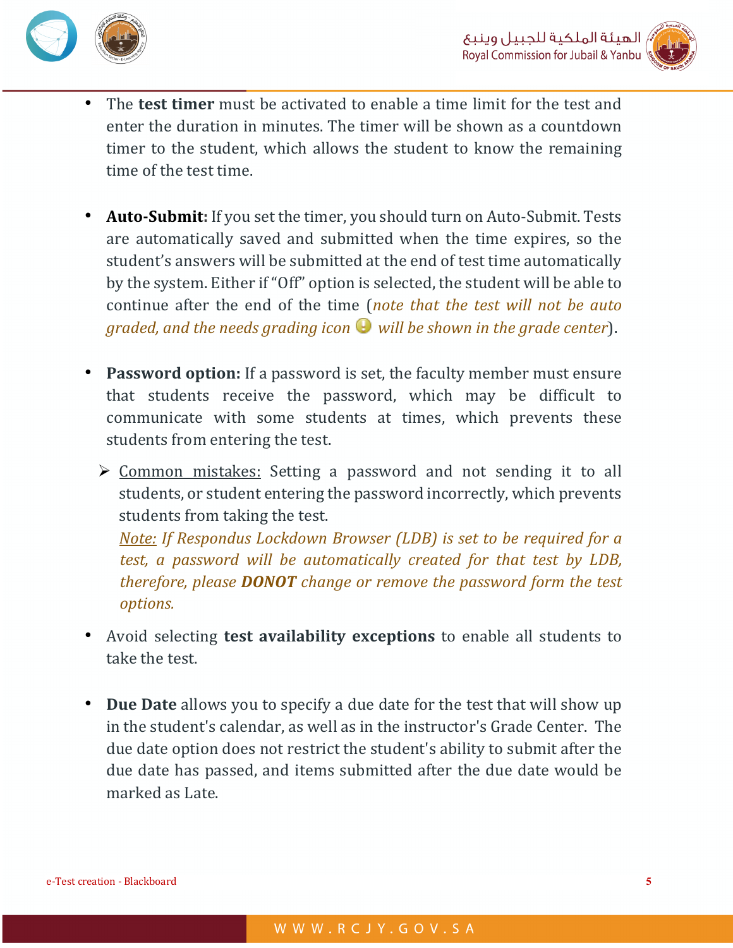



- The **test timer** must be activated to enable a time limit for the test and enter the duration in minutes. The timer will be shown as a countdown timer to the student, which allows the student to know the remaining time of the test time.
- **Auto-Submit:** If you set the timer, you should turn on Auto-Submit. Tests are automatically saved and submitted when the time expires, so the student's answers will be submitted at the end of test time automatically by the system. Either if "Off" option is selected, the student will be able to continue after the end of the time (*note that the test will not be auto graded, and the needs grading icon*  $\bullet$  *will be shown in the grade center*).
- **Password option:** If a password is set, the faculty member must ensure that students receive the password, which may be difficult to communicate with some students at times, which prevents these students from entering the test.
	- $\triangleright$  Common mistakes: Setting a password and not sending it to all students, or student entering the password incorrectly, which prevents students from taking the test.

*<u>Note:</u> If Respondus Lockdown Browser (LDB) is set to be required for a test, a password will be automatically created for that test by LDB, therefore, please DONOT change or remove the password form the test options.* 

- Avoid selecting **test availability exceptions** to enable all students to take the test.
- **Due Date** allows you to specify a due date for the test that will show up in the student's calendar, as well as in the instructor's Grade Center. The due date option does not restrict the student's ability to submit after the due date has passed, and items submitted after the due date would be marked as Late.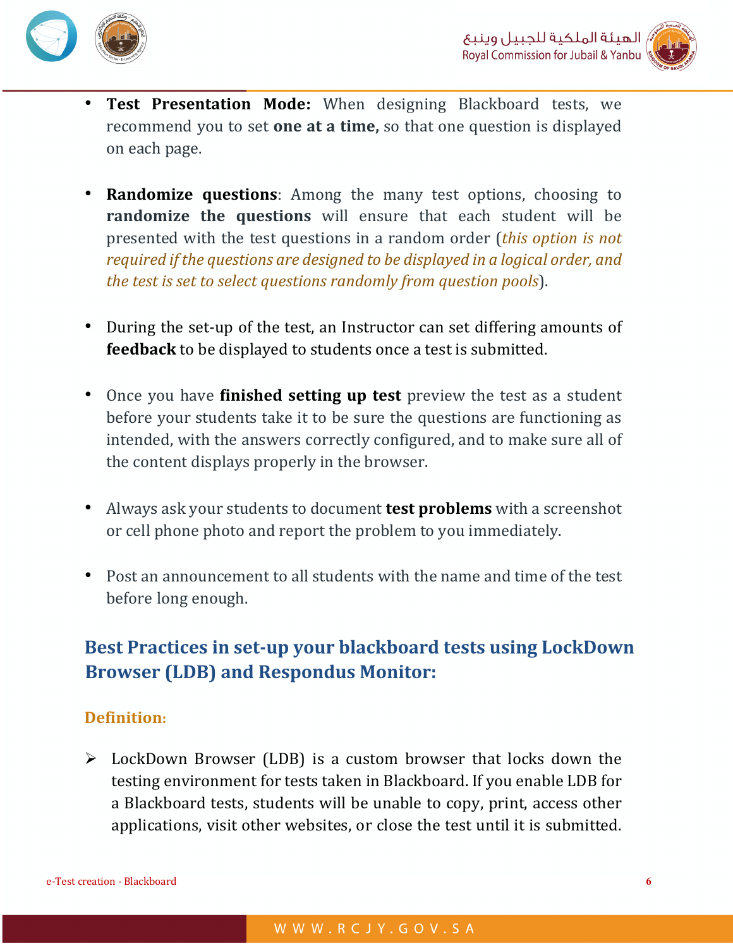



- **Test Presentation Mode:** When designing Blackboard tests, we recommend you to set **one at a time**, so that one question is displayed on each page.
- **Randomize questions**: Among the many test options, choosing to **randomize the questions** will ensure that each student will be presented with the test questions in a random order *(this option is not*) *required if the questions are designed to be displayed in a logical order, and the test is set to select questions randomly from question pools*).
- During the set-up of the test, an Instructor can set differing amounts of **feedback** to be displayed to students once a test is submitted.
- Once you have **finished setting up test** preview the test as a student before your students take it to be sure the questions are functioning as intended, with the answers correctly configured, and to make sure all of the content displays properly in the browser.
- Always ask your students to document **test problems** with a screenshot or cell phone photo and report the problem to you immediately.
- Post an announcement to all students with the name and time of the test before long enough.

## Best Practices in set-up your blackboard tests using LockDown **Browser (LDB) and Respondus Monitor:**

#### **Definition:**

 $\triangleright$  LockDown Browser (LDB) is a custom browser that locks down the testing environment for tests taken in Blackboard. If you enable LDB for a Blackboard tests, students will be unable to copy, print, access other applications, visit other websites, or close the test until it is submitted.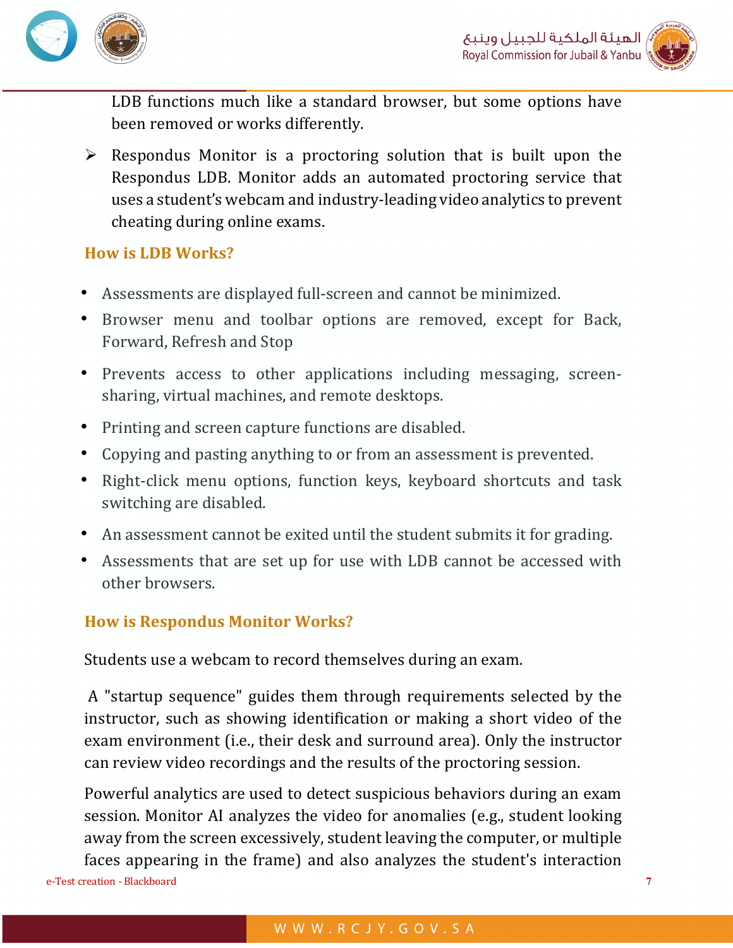



LDB functions much like a standard browser, but some options have been removed or works differently.

 $\triangleright$  Respondus Monitor is a proctoring solution that is built upon the Respondus LDB. Monitor adds an automated proctoring service that uses a student's webcam and industry-leading video analytics to prevent cheating during online exams.

#### **How is LDB Works?**

- Assessments are displayed full-screen and cannot be minimized.
- Browser menu and toolbar options are removed, except for Back, Forward, Refresh and Stop
- Prevents access to other applications including messaging, screensharing, virtual machines, and remote desktops.
- Printing and screen capture functions are disabled.
- Copying and pasting anything to or from an assessment is prevented.
- Right-click menu options, function keys, keyboard shortcuts and task switching are disabled.
- An assessment cannot be exited until the student submits it for grading.
- Assessments that are set up for use with LDB cannot be accessed with other browsers.

### **How is Respondus Monitor Works?**

Students use a webcam to record themselves during an exam.

A "startup sequence" guides them through requirements selected by the instructor, such as showing identification or making a short video of the exam environment (i.e., their desk and surround area). Only the instructor can review video recordings and the results of the proctoring session.

e-Test creation - Blackboard **7** Powerful analytics are used to detect suspicious behaviors during an exam session. Monitor AI analyzes the video for anomalies (e.g., student looking away from the screen excessively, student leaving the computer, or multiple faces appearing in the frame) and also analyzes the student's interaction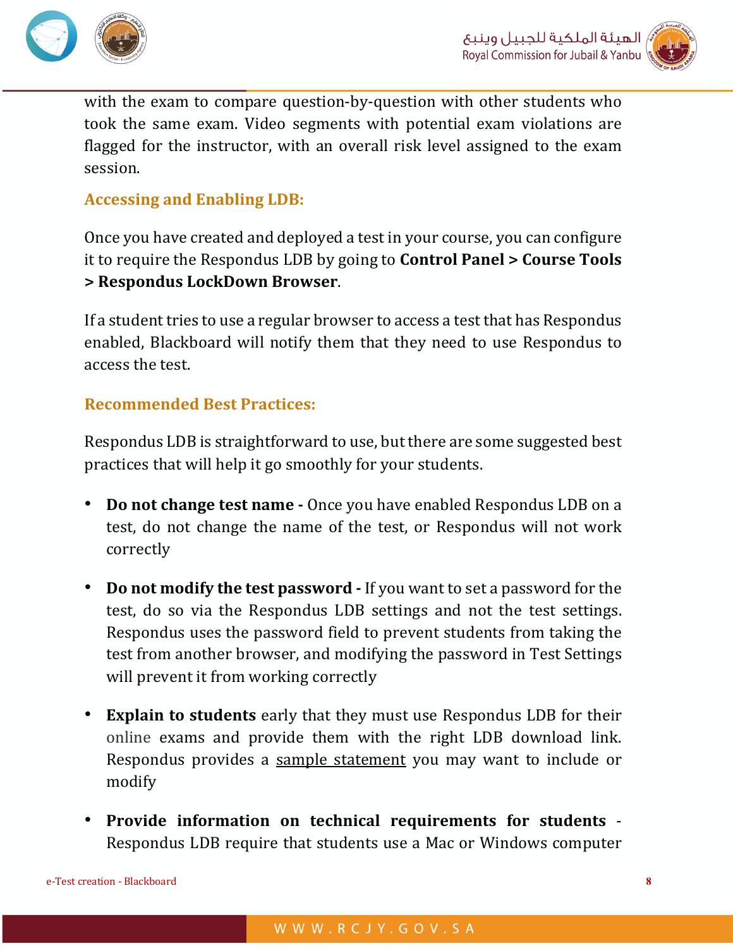



with the exam to compare question-by-question with other students who took the same exam. Video segments with potential exam violations are flagged for the instructor, with an overall risk level assigned to the exam session. 

## **Accessing and Enabling LDB:**

Once you have created and deployed a test in your course, you can configure it to require the Respondus LDB by going to **Control Panel > Course Tools > Respondus LockDown Browser**.

If a student tries to use a regular browser to access a test that has Respondus enabled, Blackboard will notify them that they need to use Respondus to access the test.

#### **Recommended Best Practices:**

Respondus LDB is straightforward to use, but there are some suggested best practices that will help it go smoothly for your students.

- **Do not change test name** Once you have enabled Respondus LDB on a test, do not change the name of the test, or Respondus will not work correctly
- **Do not modify the test password -** If you want to set a password for the test, do so via the Respondus LDB settings and not the test settings. Respondus uses the password field to prevent students from taking the test from another browser, and modifying the password in Test Settings will prevent it from working correctly
- **Explain to students** early that they must use Respondus LDB for their online exams and provide them with the right LDB download link. Respondus provides a sample statement you may want to include or modify
- Provide information on technical requirements for students -Respondus LDB require that students use a Mac or Windows computer